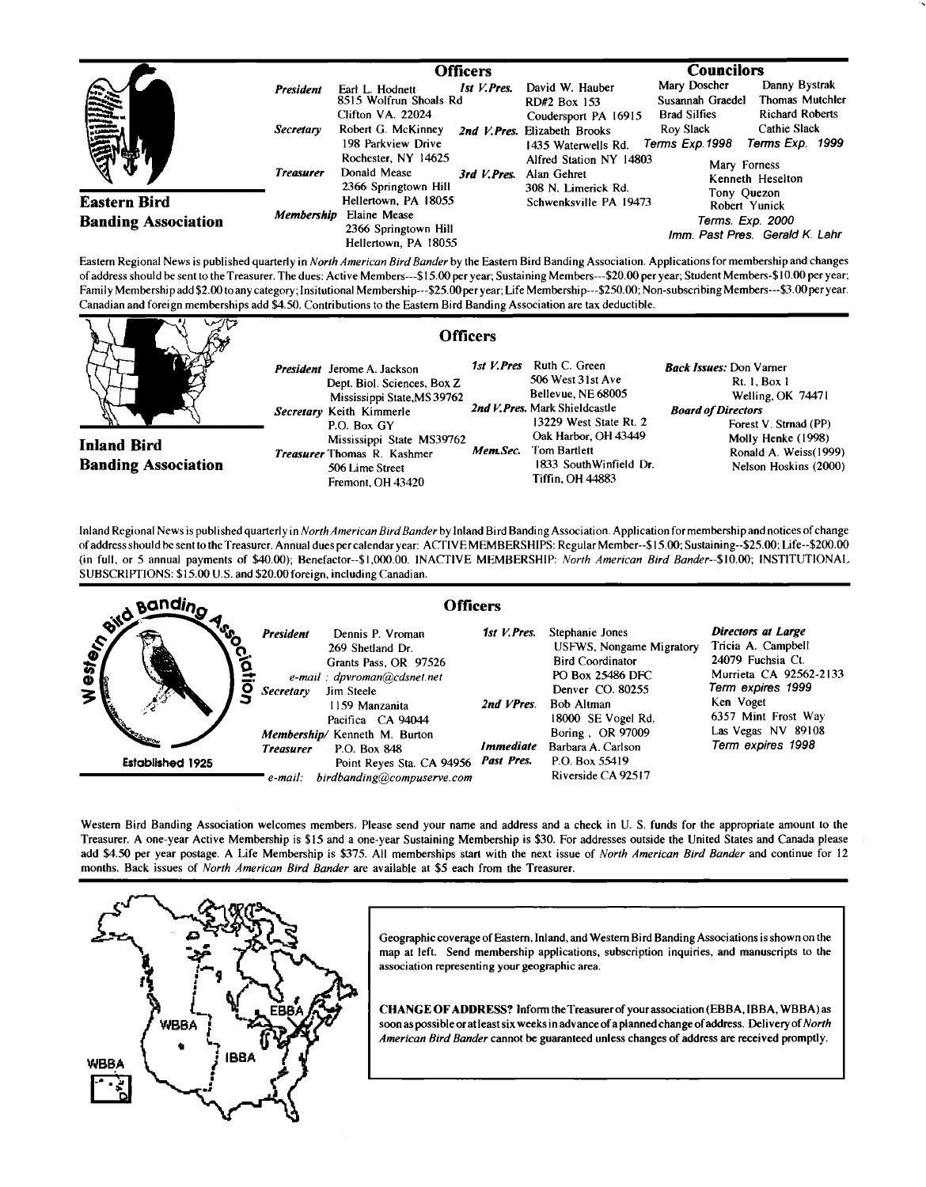|                                                   |                                                          | <b>Officers</b>                                                                                                                                                                                           |                                                                                                                                                                                  | <b>Councilors</b>                                                                                                                                                                                                                  |
|---------------------------------------------------|----------------------------------------------------------|-----------------------------------------------------------------------------------------------------------------------------------------------------------------------------------------------------------|----------------------------------------------------------------------------------------------------------------------------------------------------------------------------------|------------------------------------------------------------------------------------------------------------------------------------------------------------------------------------------------------------------------------------|
| illia<br>Illia                                    | <b>President</b><br><b>Secretary</b><br><b>Treasurer</b> | 1st V. Pres.<br>Earl L. Hodnett<br>8515 Wolfrun Shoals Rd<br>Clifton VA. 22024<br>Robert G. McKinney<br>198 Parkview Drive<br>Rochester, NY 14625<br>Donald Mease<br>3rd V. Pres.<br>2366 Springtown Hill | David W. Hauber<br>RD#2 Box 153<br>Coudersport PA 16915<br>2nd V. Pres. Elizabeth Brooks<br>1435 Waterwells Rd.<br>Alfred Station NY 14803<br>Alan Gehret<br>308 N. Limerick Rd. | Mary Doscher<br>Danny Bystrak<br><b>Thomas Mutchler</b><br>Susannah Graedel<br><b>Richard Roberts</b><br><b>Brad Silfies</b><br>Cathie Slack<br>Roy Slack<br>Terms Exp. 1999<br>Terms Exp.1998<br>Mary Forness<br>Kenneth Heselton |
| <b>Eastern Bird</b><br><b>Banding Association</b> | Membership                                               | Hellertown, PA 18055<br>Elaine Mease<br>2366 Springtown Hill<br>Hellertown, PA 18055                                                                                                                      | Schwenksville PA 19473                                                                                                                                                           | Tony Quezon<br>Robert Yunick<br>Terms. Exp. 2000<br>Imm. Past Pres. Gerald K. Lahr                                                                                                                                                 |

**Eastern Regional News is published quarterly in North American Bird Bander by the Eastern Bird Banding Association. Applications for membership and changes**  of address should be sent to the Treasurer. The dues: Active Members---\$15.00 per year; Sustaining Members---\$20.00 per year; Student Members-\$10.00 per year; Family Membership add \$2.00 to any category; Insitutional Membership---\$25.00 per year; Life Membership---\$250.00; Non-subscribing Members---\$3.00 per year. **Canadian and foreign memberships add \$4.50. Contributions to the Eastern Bird Banding Association are tax deductible.** 



Inland Regional News is published quarterly in North American Bird Bander by Inland Bird Banding Association. Application for membership and notices of change **of address should be sento the Treasurer. Annual dues per calendar year: ACTIVE MEMBERSHIPS: Regular Member--\$15.00; Sustaining--S25.00; Life--S200.00 (in full, or 5 annual payments of \$40.00); Benefactor--S1,000.00. INACTIVE MEMBERSHIP: North American Bird Bander--S10.00; INSTITUTIONAL SUBSCRIPTIONS: \$15.00 U.S. and \$20.00 foreign, including Canadian.** 



Western Bird Banding Association welcomes members. Please send your name and address and a check in U.S. funds for the appropriate amount to the **Treasurer. A one-year Active Membership is \$15 and a one-year Sustaining Membership is \$30. For addresses outside the United States and Canada please add \$4.50 per year postage. A Life Membership is \$375. All memberships start with the next issue of North American Bird Bander and continue for 12 months. Back issues of North American Bird Bander are available at \$5 each from the Treasurer.** 



**Geographic coverage of Eastern, Inland, and Westem Bird Banding Associations is shown on the map at left. Send membership applications, subscription inquiries, and manuscripts to the association representing your geographic area.** 

**CHANGE OF ADDRESS? Inform theTreasurer of your association (EBBA, IBBA, WBBA) as soon as possible orat least six weeks in advance of a planned change of address. Delivery of North American Bird Bander cannot be guaranteed unless changes of address are received promptly.**